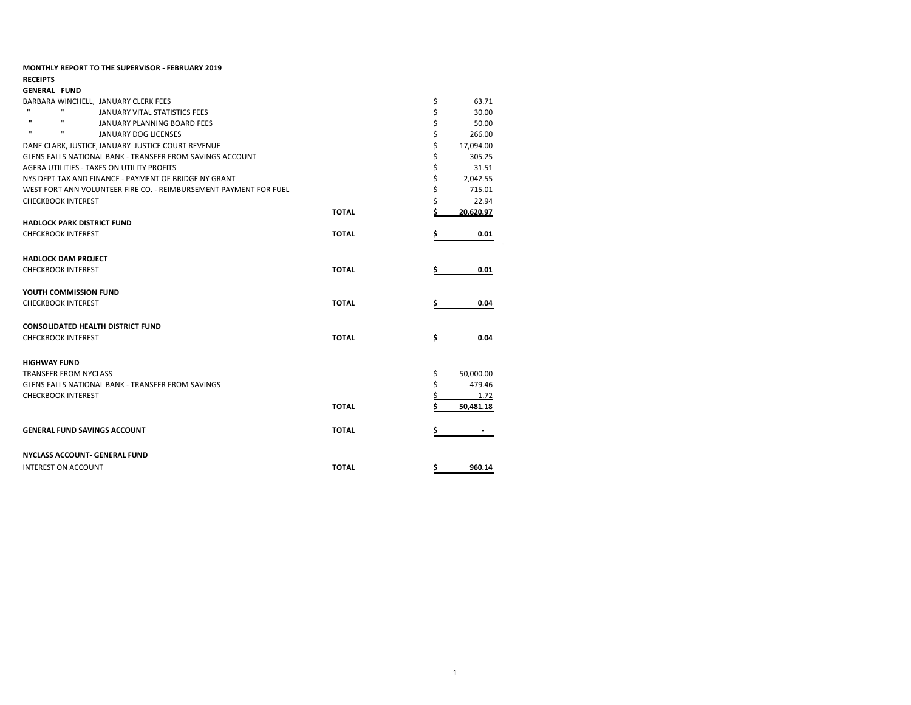| <b>MONTHLY REPORT TO THE SUPERVISOR - FEBRUARY 2019</b>           |              |                 |       |
|-------------------------------------------------------------------|--------------|-----------------|-------|
| <b>RECEIPTS</b>                                                   |              |                 |       |
| <b>GENERAL FUND</b>                                               |              |                 |       |
| BARBARA WINCHELL, JANUARY CLERK FEES                              |              | \$              | 63.71 |
| $\mathbf{H}$<br>п<br>JANUARY VITAL STATISTICS FEES                |              |                 | 30.00 |
| $\mathbf{H}$<br>$\mathbf{u}$<br>JANUARY PLANNING BOARD FEES       |              |                 | 50.00 |
| $\mathbf{u}$<br>п<br>JANUARY DOG LICENSES                         |              | 266.00          |       |
| DANE CLARK, JUSTICE, JANUARY JUSTICE COURT REVENUE                |              | 17,094.00       |       |
| <b>GLENS FALLS NATIONAL BANK - TRANSFER FROM SAVINGS ACCOUNT</b>  |              | 305.25          |       |
| AGERA UTILITIES - TAXES ON UTILITY PROFITS                        |              |                 | 31.51 |
| NYS DEPT TAX AND FINANCE - PAYMENT OF BRIDGE NY GRANT             |              | 2,042.55        |       |
| WEST FORT ANN VOLUNTEER FIRE CO. - REIMBURSEMENT PAYMENT FOR FUEL |              | 715.01          |       |
| <b>CHECKBOOK INTEREST</b>                                         |              |                 | 22.94 |
|                                                                   | <b>TOTAL</b> | 20,620.97       |       |
| <b>HADLOCK PARK DISTRICT FUND</b>                                 |              |                 |       |
| <b>CHECKBOOK INTEREST</b>                                         | <b>TOTAL</b> |                 | 0.01  |
|                                                                   |              |                 |       |
| <b>HADLOCK DAM PROJECT</b>                                        |              |                 |       |
| <b>CHECKBOOK INTEREST</b>                                         | <b>TOTAL</b> |                 | 0.01  |
|                                                                   |              |                 |       |
| YOUTH COMMISSION FUND                                             |              |                 |       |
| <b>CHECKBOOK INTEREST</b>                                         | <b>TOTAL</b> |                 | 0.04  |
|                                                                   |              |                 |       |
| <b>CONSOLIDATED HEALTH DISTRICT FUND</b>                          |              |                 |       |
| <b>CHECKBOOK INTEREST</b>                                         | <b>TOTAL</b> |                 | 0.04  |
|                                                                   |              |                 |       |
| <b>HIGHWAY FUND</b>                                               |              |                 |       |
| <b>TRANSFER FROM NYCLASS</b>                                      |              | \$<br>50,000.00 |       |
| GLENS FALLS NATIONAL BANK - TRANSFER FROM SAVINGS                 |              | \$<br>479.46    |       |
| <b>CHECKBOOK INTEREST</b>                                         |              |                 | 1.72  |
|                                                                   | <b>TOTAL</b> | 50,481.18       |       |
|                                                                   |              |                 |       |
| <b>GENERAL FUND SAVINGS ACCOUNT</b>                               | <b>TOTAL</b> |                 |       |
|                                                                   |              |                 |       |
| <b>NYCLASS ACCOUNT- GENERAL FUND</b>                              |              |                 |       |
| <b>INTEREST ON ACCOUNT</b>                                        | <b>TOTAL</b> | \$<br>960.14    |       |
|                                                                   |              |                 |       |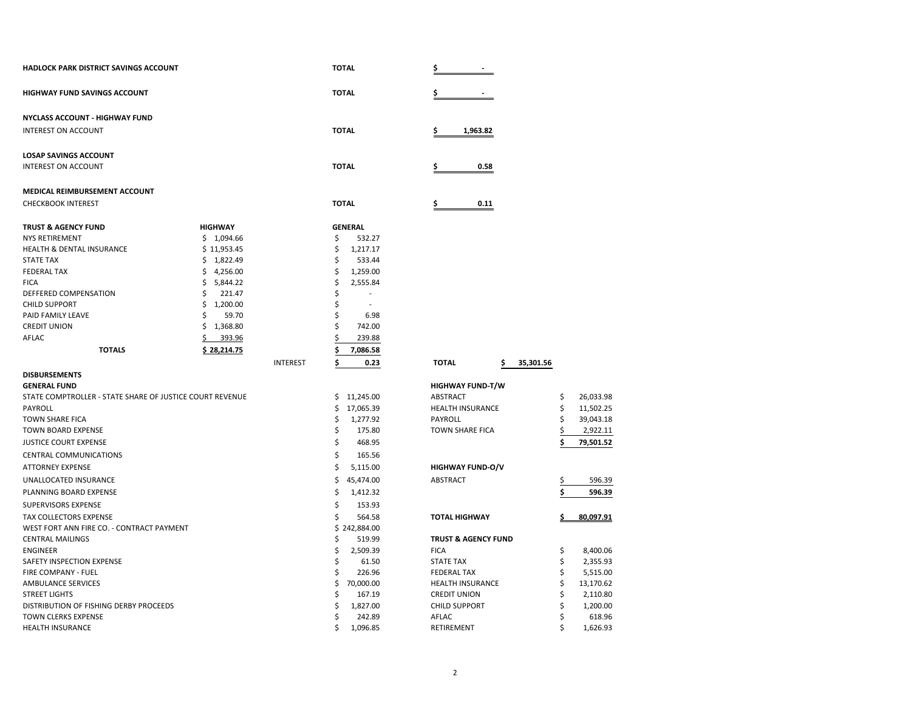| <b>HADLOCK PARK DISTRICT SAVINGS ACCOUNT</b>             |                |                 |    | <b>TOTAL</b>   | Ş                               |    |           |
|----------------------------------------------------------|----------------|-----------------|----|----------------|---------------------------------|----|-----------|
| <b>HIGHWAY FUND SAVINGS ACCOUNT</b>                      |                |                 |    | <b>TOTAL</b>   | \$.                             |    |           |
| <b>NYCLASS ACCOUNT - HIGHWAY FUND</b>                    |                |                 |    |                |                                 |    |           |
| <b>INTEREST ON ACCOUNT</b>                               |                |                 |    | <b>TOTAL</b>   | 1,963.82<br>\$.                 |    |           |
| <b>LOSAP SAVINGS ACCOUNT</b>                             |                |                 |    |                |                                 |    |           |
| <b>INTEREST ON ACCOUNT</b>                               |                |                 |    | <b>TOTAL</b>   | 0.58                            |    |           |
| MEDICAL REIMBURSEMENT ACCOUNT                            |                |                 |    |                |                                 |    |           |
| <b>CHECKBOOK INTEREST</b>                                |                |                 |    | <b>TOTAL</b>   | 0.11<br>\$                      |    |           |
| <b>TRUST &amp; AGENCY FUND</b>                           | <b>HIGHWAY</b> |                 |    | <b>GENERAL</b> |                                 |    |           |
| <b>NYS RETIREMENT</b>                                    | \$1,094.66     |                 | \$ | 532.27         |                                 |    |           |
| <b>HEALTH &amp; DENTAL INSURANCE</b>                     | \$11,953.45    |                 | Ś  | 1,217.17       |                                 |    |           |
| <b>STATE TAX</b>                                         | \$1,822.49     |                 | \$ | 533.44         |                                 |    |           |
| <b>FEDERAL TAX</b>                                       | \$4,256.00     |                 | Ś  | 1,259.00       |                                 |    |           |
| <b>FICA</b>                                              | \$<br>5,844.22 |                 | \$ | 2,555.84       |                                 |    |           |
| DEFFERED COMPENSATION                                    | \$<br>221.47   |                 | \$ |                |                                 |    |           |
| <b>CHILD SUPPORT</b>                                     | \$<br>1,200.00 |                 | \$ |                |                                 |    |           |
| PAID FAMILY LEAVE                                        | Ś<br>59.70     |                 | \$ | 6.98           |                                 |    |           |
| <b>CREDIT UNION</b>                                      | 1,368.80<br>\$ |                 | Ś  | 742.00         |                                 |    |           |
| AFLAC                                                    | 393.96         |                 |    |                |                                 |    |           |
|                                                          | \$             |                 |    | 239.88         |                                 |    |           |
| <b>TOTALS</b>                                            | \$28,214.75    |                 |    | 7,086.58       |                                 |    |           |
|                                                          |                | <b>INTEREST</b> | \$ | 0.23           | <b>TOTAL</b><br>35,301.56<br>\$ |    |           |
| <b>DISBURSEMENTS</b>                                     |                |                 |    |                |                                 |    |           |
| <b>GENERAL FUND</b>                                      |                |                 |    |                | <b>HIGHWAY FUND-T/W</b>         |    |           |
| STATE COMPTROLLER - STATE SHARE OF JUSTICE COURT REVENUE |                |                 |    | \$11,245.00    | <b>ABSTRACT</b>                 | \$ | 26,033.98 |
| PAYROLL                                                  |                |                 | \$ | 17,065.39      | <b>HEALTH INSURANCE</b>         | \$ | 11,502.25 |
| <b>TOWN SHARE FICA</b>                                   |                |                 | Ś  | 1,277.92       | PAYROLL                         | \$ | 39,043.18 |
| TOWN BOARD EXPENSE                                       |                |                 | \$ | 175.80         | <b>TOWN SHARE FICA</b>          |    | 2,922.11  |
| <b>JUSTICE COURT EXPENSE</b>                             |                |                 | \$ | 468.95         |                                 | Ś  | 79,501.52 |
| <b>CENTRAL COMMUNICATIONS</b>                            |                |                 | Ś  | 165.56         |                                 |    |           |
| <b>ATTORNEY EXPENSE</b>                                  |                |                 | \$ | 5,115.00       | <b>HIGHWAY FUND-O/V</b>         |    |           |
| UNALLOCATED INSURANCE                                    |                |                 | \$ | 45,474.00      | <b>ABSTRACT</b>                 |    | 596.39    |
| PLANNING BOARD EXPENSE                                   |                |                 | \$ | 1,412.32       |                                 | \$ | 596.39    |
| <b>SUPERVISORS EXPENSE</b>                               |                |                 | Ś  | 153.93         |                                 |    |           |
| TAX COLLECTORS EXPENSE                                   |                |                 | Ś  | 564.58         | <b>TOTAL HIGHWAY</b>            |    | 80.097.91 |
| WEST FORT ANN FIRE CO. - CONTRACT PAYMENT                |                |                 |    | \$242,884.00   |                                 |    |           |
| <b>CENTRAL MAILINGS</b>                                  |                |                 | S  | 519.99         | <b>TRUST &amp; AGENCY FUND</b>  |    |           |
| <b>ENGINEER</b>                                          |                |                 | Ś  | 2,509.39       | <b>FICA</b>                     | \$ | 8,400.06  |
| SAFETY INSPECTION EXPENSE                                |                |                 | Ś  | 61.50          | <b>STATE TAX</b>                | \$ | 2,355.93  |
| FIRE COMPANY - FUEL                                      |                |                 | Ś  | 226.96         | <b>FEDERAL TAX</b>              | \$ | 5,515.00  |
| <b>AMBULANCE SERVICES</b>                                |                |                 |    | 70,000.00      | HEALTH INSURANCE                | Ś  | 13,170.62 |
| <b>STREET LIGHTS</b>                                     |                |                 |    | 167.19         | <b>CREDIT UNION</b>             | \$ | 2,110.80  |
| DISTRIBUTION OF FISHING DERBY PROCEEDS                   |                |                 |    | 1,827.00       | <b>CHILD SUPPORT</b>            | Ś  | 1,200.00  |
| TOWN CLERKS EXPENSE                                      |                |                 |    | 242.89         | AFLAC                           | Ś  | 618.96    |
| <b>HEALTH INSURANCE</b>                                  |                |                 |    | 1,096.85       | RETIREMENT                      |    | 1,626.93  |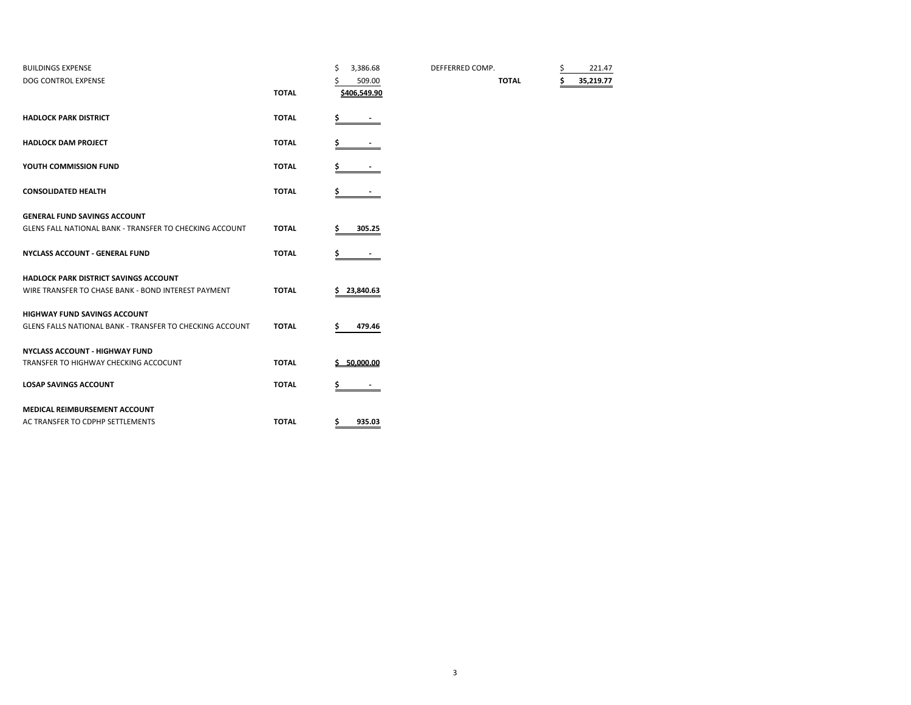| <b>BUILDINGS EXPENSE</b>                                       |              | \$ | 3,386.68        | DEFFERRED COMP. |              | \$<br>221.47 |
|----------------------------------------------------------------|--------------|----|-----------------|-----------------|--------------|--------------|
| DOG CONTROL EXPENSE                                            |              |    | 509.00          |                 | <b>TOTAL</b> | 35,219.77    |
|                                                                | <b>TOTAL</b> |    | \$406.549.90    |                 |              |              |
| <b>HADLOCK PARK DISTRICT</b>                                   | <b>TOTAL</b> | \$ |                 |                 |              |              |
|                                                                |              |    |                 |                 |              |              |
| <b>HADLOCK DAM PROJECT</b>                                     | <b>TOTAL</b> |    |                 |                 |              |              |
| YOUTH COMMISSION FUND                                          | <b>TOTAL</b> |    |                 |                 |              |              |
| <b>CONSOLIDATED HEALTH</b>                                     | <b>TOTAL</b> | s  |                 |                 |              |              |
| <b>GENERAL FUND SAVINGS ACCOUNT</b>                            |              |    |                 |                 |              |              |
| <b>GLENS FALL NATIONAL BANK - TRANSFER TO CHECKING ACCOUNT</b> | <b>TOTAL</b> |    | 305.25          |                 |              |              |
| <b>NYCLASS ACCOUNT - GENERAL FUND</b>                          | <b>TOTAL</b> | \$ |                 |                 |              |              |
| <b>HADLOCK PARK DISTRICT SAVINGS ACCOUNT</b>                   |              |    |                 |                 |              |              |
| WIRE TRANSFER TO CHASE BANK - BOND INTEREST PAYMENT            | <b>TOTAL</b> | Ś  | 23,840.63       |                 |              |              |
| <b>HIGHWAY FUND SAVINGS ACCOUNT</b>                            |              |    |                 |                 |              |              |
| GLENS FALLS NATIONAL BANK - TRANSFER TO CHECKING ACCOUNT       | <b>TOTAL</b> |    | 479.46          |                 |              |              |
| <b>NYCLASS ACCOUNT - HIGHWAY FUND</b>                          |              |    |                 |                 |              |              |
| TRANSFER TO HIGHWAY CHECKING ACCOCUNT                          | <b>TOTAL</b> |    | $5 - 50,000,00$ |                 |              |              |
| <b>LOSAP SAVINGS ACCOUNT</b>                                   | <b>TOTAL</b> |    |                 |                 |              |              |
| <b>MEDICAL REIMBURSEMENT ACCOUNT</b>                           |              |    |                 |                 |              |              |
| AC TRANSFER TO CDPHP SETTLEMENTS                               | <b>TOTAL</b> | \$ | 935.03          |                 |              |              |
|                                                                |              |    |                 |                 |              |              |